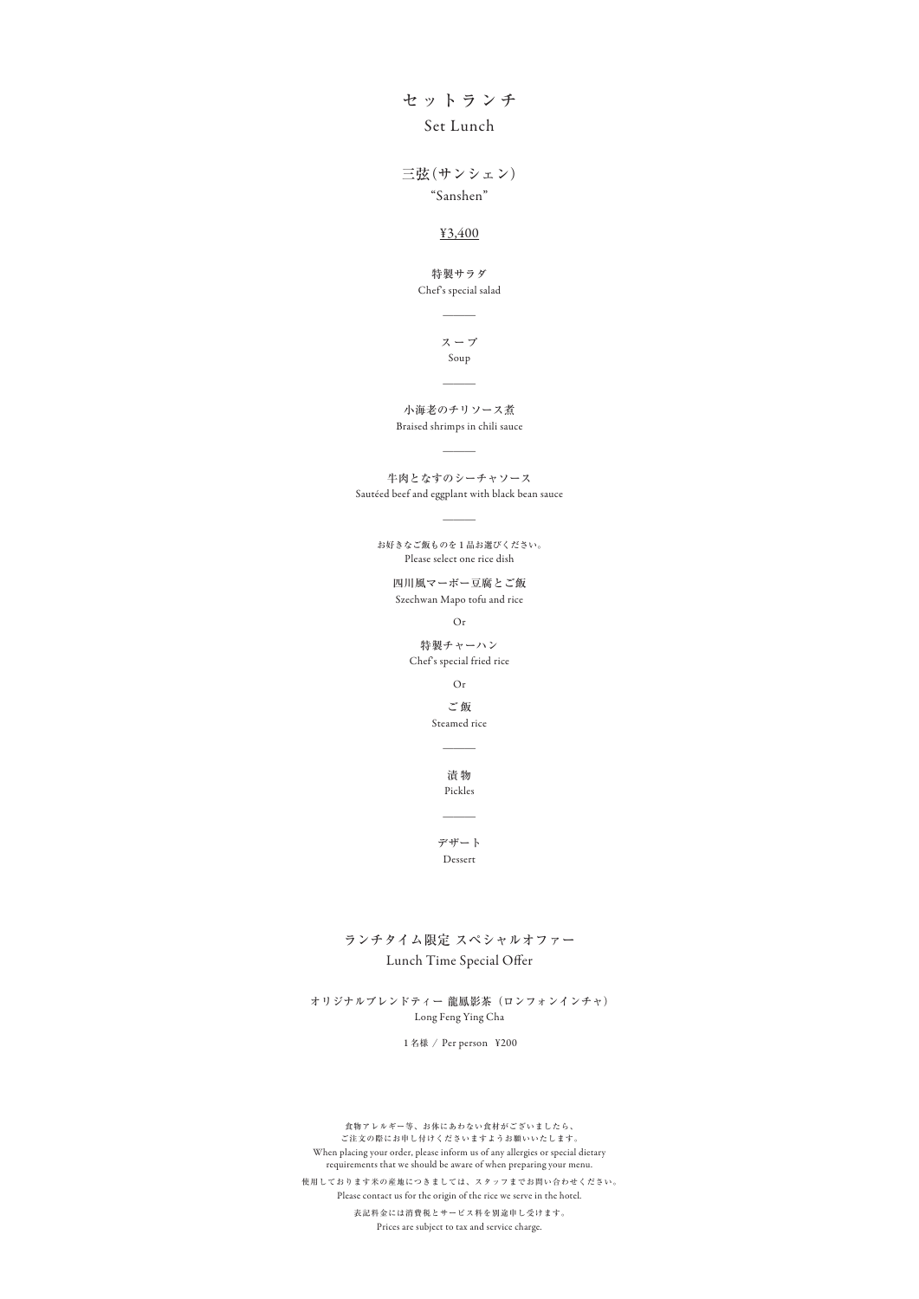食物アレルギー等、お体にあわない食材がございましたら、 ご注文の際にお申し付けくださいますようお願いいたします。 When placing your order, please inform us of any allergies or special dietary requirements that we should be aware of when preparing your menu. 表記料金には消費税とサービス料を別途申し受けます。 Prices are subject to tax and service charge. 使用しております米の産地につきましては、スタッフまでお問い合わせください。 Please contact us for the origin of the rice we serve in the hotel.

セットランチ Set Lunch

> Steamed rice ご飯

 $\overline{\phantom{a}}$ 

Chef's special salad 特製サラダ

 $\overline{\phantom{a}}$ 

"Sanshen" 三弦(サンシェン)

#### ¥3,400

Pickles 漬 物

 $\overline{\phantom{a}}$ 

スープ Soup

 $\overline{\phantom{a}}$ 

Dessert デザート

#### Long Feng Ying Cha オリジナルブレンドティー 龍鳳影茶(ロンフォンインチャ)

小海老のチリソース煮 Braised shrimps in chili sauce

 $\overline{\phantom{a}}$ 

牛肉となすのシーチャソース Sautéed beef and eggplant with black bean sauce

 $\overline{\phantom{a}}$ 

Szechwan Mapo tofu and rice 四川風マーボー豆腐とご飯

Please select one rice dish お好きなご飯ものを1品お選びください。

Or

Or

Chef's special fried rice 特製チャーハン

1名様 / Per person ¥200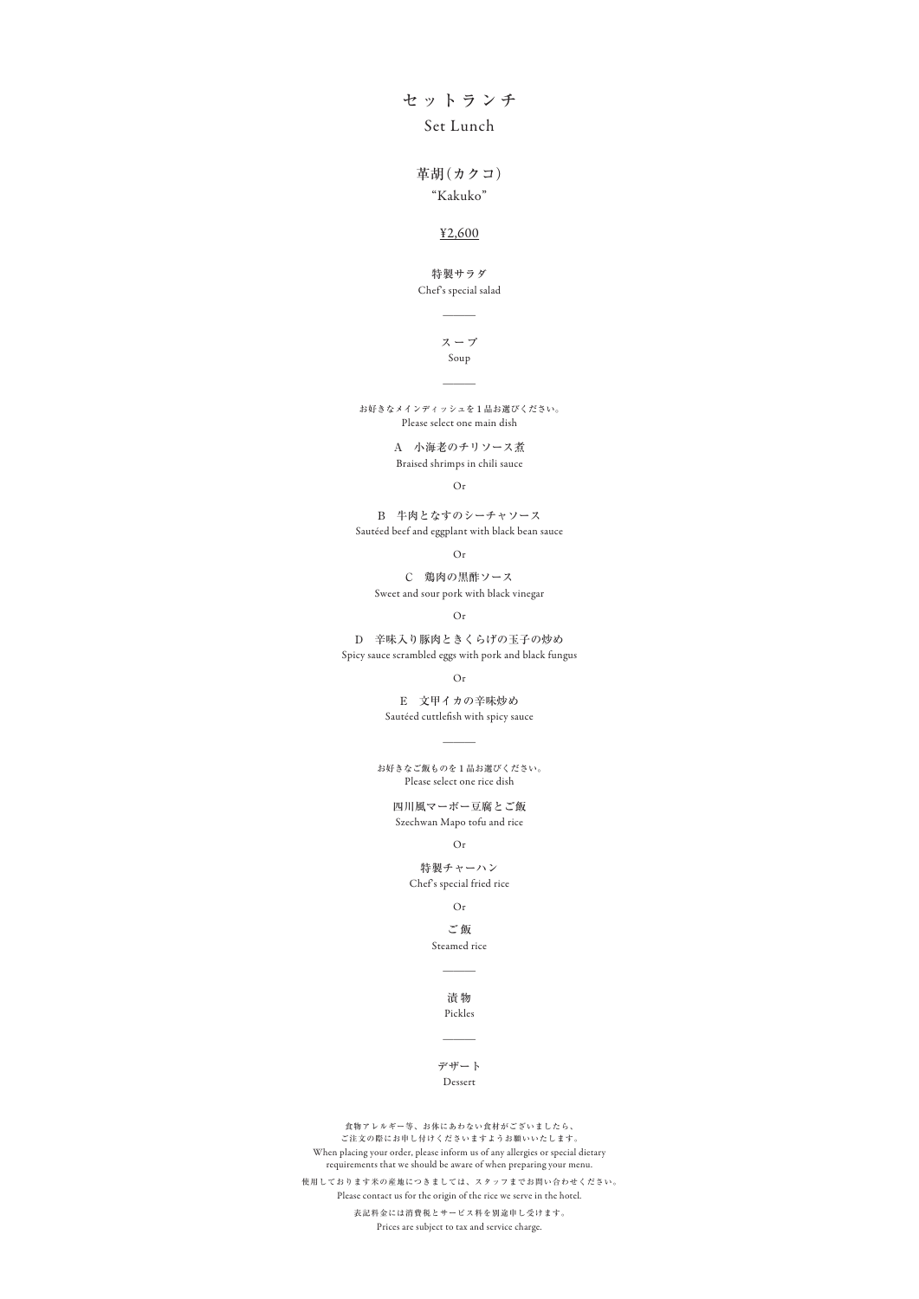## セットランチ Set Lunch

Chef's special salad 特製サラダ

 $\overline{\phantom{a}}$ 

### "Kakuko"

 $\overline{\phantom{a}}$ Soup

#### ¥2,600

革胡(カクコ)

Pickles 漬 物

 $\overline{\phantom{a}}$ 

スープ

#### Dessert デザート

A 小海老のチリソース煮 Braised shrimps in chili sauce

> Steamed rice ご飯

> > $\overline{\phantom{a}}$

C 鶏肉の黒酢ソース Sweet and sour pork with black vinegar

Spicy sauce scrambled eggs with pork and black fungus D 辛味入り豚肉ときくらげの玉子の炒め

> Sautéed cuttlefish with spicy sauce E 文甲イカの辛味炒め

Szechwan Mapo tofu and rice 四川風マーボー豆腐とご飯

Please select one rice dish お好きなご飯ものを1品お選びください。

 $\overline{\phantom{a}}$ 

Or

Or

Chef's special fried rice 特製チャーハン

Sautéed beef and eggplant with black bean sauce B 牛肉となすのシーチャソース

Or

Or

Or

Please select one main dish お好きなメインディッシュを1品お選びください。

Or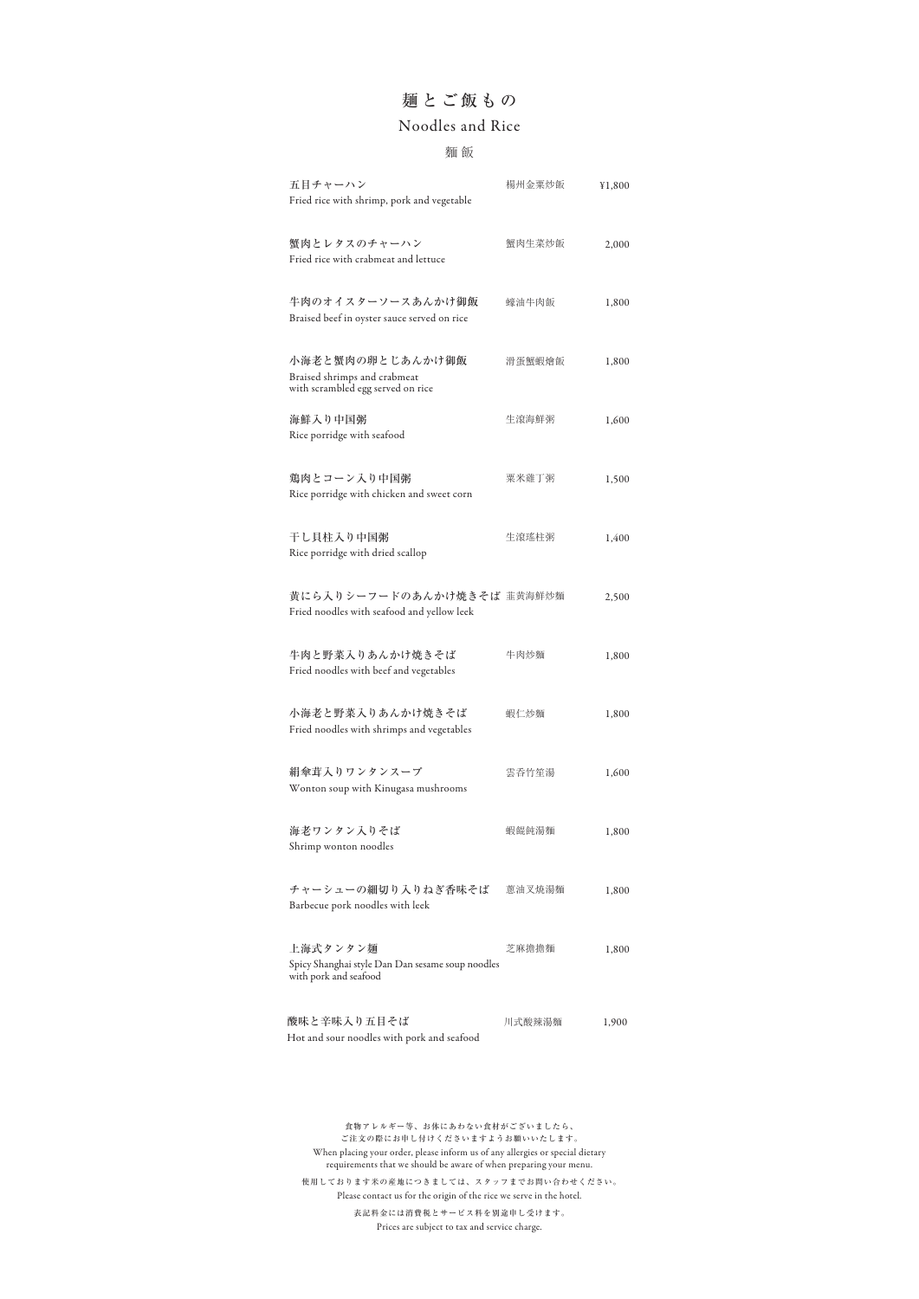#### 川式酸辣湯麵 Hot and sour noodles with pork and seafood 酸味と辛味入り五目そば リング 川式酸辣湯麵 1,900

Spicy Shanghai style Dan Dan sesame soup noodles with pork and seafood

| 五目チャーハン<br>Fried rice with shrimp, pork and vegetable                                 | 楊州金粟炒飯 | ¥1,800 |
|---------------------------------------------------------------------------------------|--------|--------|
| 蟹肉とレタスのチャーハン<br>Fried rice with crabmeat and lettuce                                  | 蟹肉生菜炒飯 | 2,000  |
| 牛肉のオイスターソースあんかけ御飯<br>Braised beef in oyster sauce served on rice                      | 蠔油牛肉飯  | 1,800  |
| 小海老と蟹肉の卵とじあんかけ御飯<br>Braised shrimps and crabmeat<br>with scrambled egg served on rice | 滑蛋蟹蝦燴飯 | 1,800  |
| 海鮮入り中国粥<br>Rice porridge with seafood                                                 | 生滾海鮮粥  | 1,600  |
| 鶏肉とコーン入り中国粥<br>Rice porridge with chicken and sweet corn                              | 粟米雞丁粥  | 1,500  |
| 干し貝柱入り中国粥<br>Rice porridge with dried scallop                                         | 生滾瑤柱粥  | 1,400  |
| 黄にら入りシーフードのあんかけ焼きそば 韮黄海鮮炒麵<br>Fried noodles with seafood and yellow leek              |        | 2,500  |
| 牛肉と野菜入りあんかけ焼きそば<br>Fried noodles with beef and vegetables                             | 牛肉炒麵   | 1,800  |
| 小海老と野菜入りあんかけ焼きそば<br>Fried noodles with shrimps and vegetables                         | 蝦仁炒麵   | 1,800  |
| 絹傘茸入りワンタンスープ<br>Wonton soup with Kinugasa mushrooms                                   | 雲呑竹笙湯  | 1,600  |
| 海老ワンタン入りそば<br>Shrimp wonton noodles                                                   | 蝦餛飩湯麵  | 1,800  |
| チャーシューの細切り入りねぎ香味そば<br>Barbecue pork noodles with leek                                 | 蔥油叉焼湯麵 | 1,800  |
| 上海式タンタン麺                                                                              | 芝麻擔擔麵  | 1,800  |

## 麺とご飯もの

#### 麵 飯

## Noodles and Rice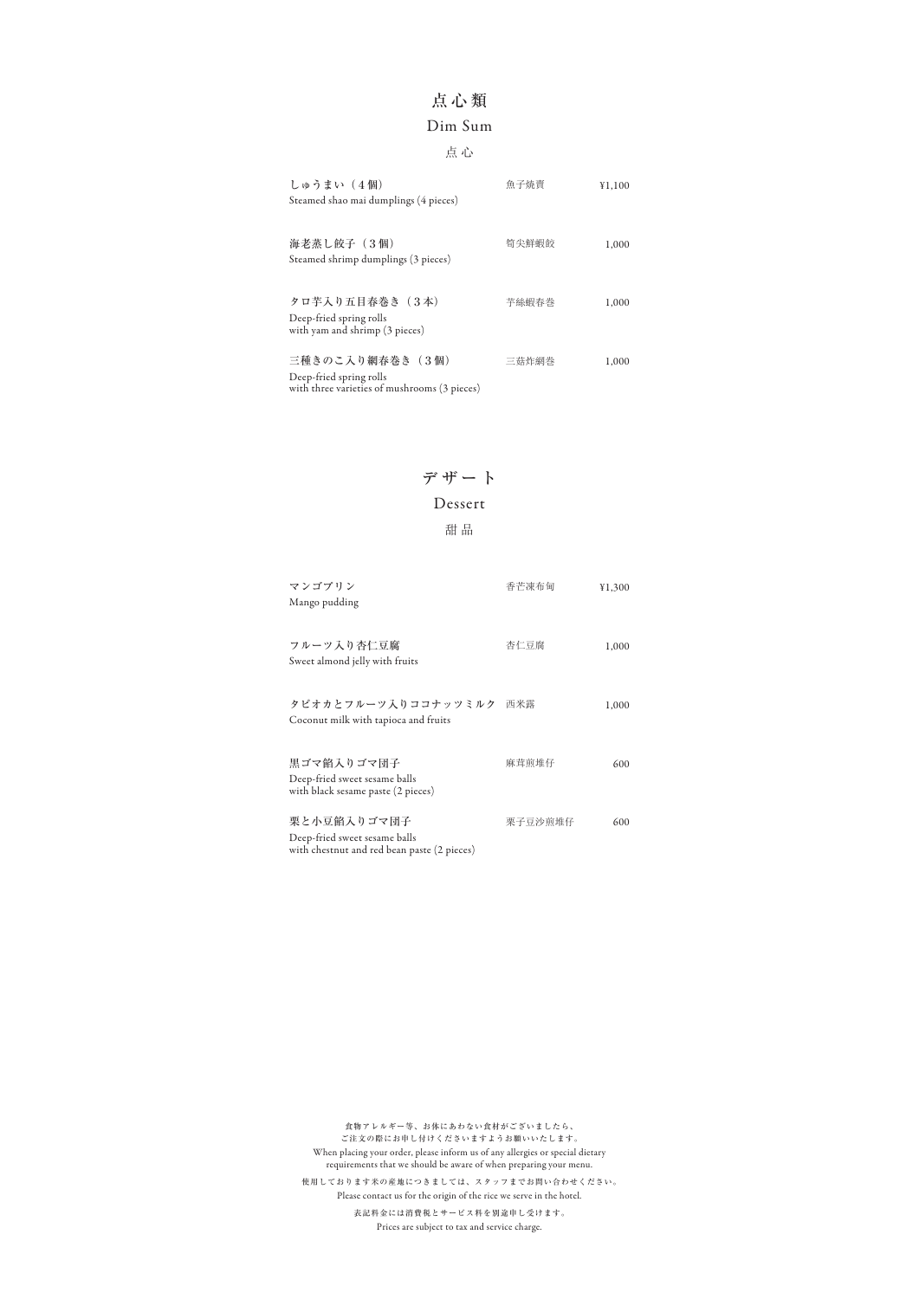| しゅうまい (4個)<br>Steamed shao mai dumplings (4 pieces)                                        | 魚子燒賣  | ¥1,100 |
|--------------------------------------------------------------------------------------------|-------|--------|
| 海老蒸し餃子(3個)<br>Steamed shrimp dumplings (3 pieces)                                          | 筍尖鮮蝦餃 | 1,000  |
| タロ芋入り五目春巻き (3本)<br>Deep-fried spring rolls<br>with yam and shrimp (3 pieces)               | 芋絲蝦春巻 | 1,000  |
| 三種きのこ入り網春巻き(3個)<br>Deep-fried spring rolls<br>with three varieties of mushrooms (3 pieces) | 三菇炸網巻 | 1,000  |

## 点心類

### 点 心

## Dim Sum

| マンゴプリン                                      | 香芒凍布甸   | ¥1,300 |
|---------------------------------------------|---------|--------|
| Mango pudding                               |         |        |
|                                             |         |        |
| フルーツ入り杏仁豆腐                                  | 杏仁豆腐    | 1,000  |
| Sweet almond jelly with fruits              |         |        |
|                                             |         |        |
| タピオカとフルーツ入りココナッツミルク                         | 西米露     | 1,000  |
| Coconut milk with tapioca and fruits        |         |        |
|                                             |         |        |
| 黒ゴマ餡入りゴマ団子                                  | 麻茸煎堆仔   | 600    |
| Deep-fried sweet sesame balls               |         |        |
| with black sesame paste (2 pieces)          |         |        |
| 栗と小豆餡入りゴマ団子                                 | 栗子豆沙煎堆仔 | 600    |
|                                             |         |        |
| Deep-fried sweet sesame balls               |         |        |
| with chestnut and red bean paste (2 pieces) |         |        |

デザート

甜 品

### Dessert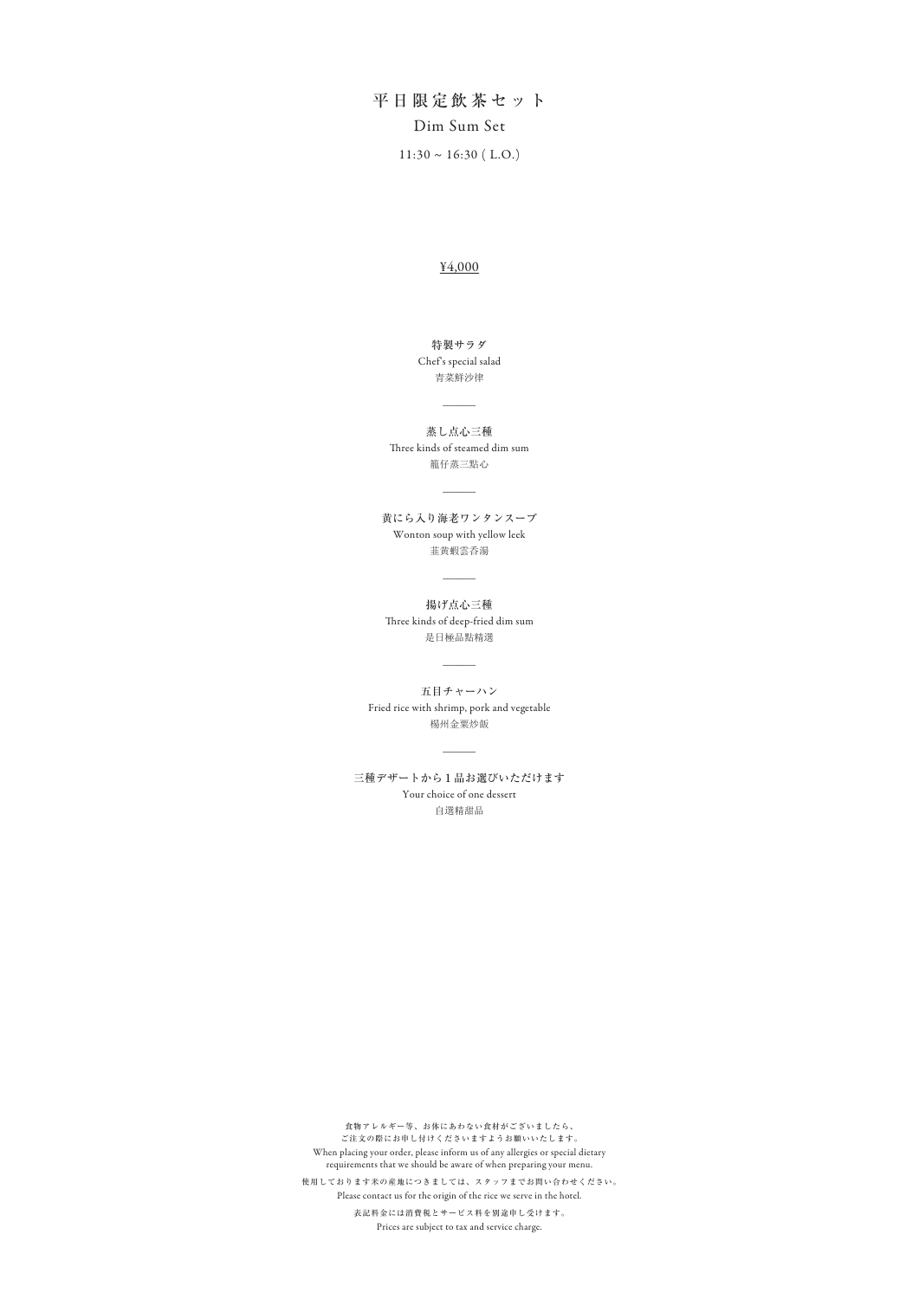$11:30 \sim 16:30$  (L.O.) 平日限定飲茶セット Dim Sum Set

籠仔蒸三點心 蒸し点心三種 Three kinds of steamed dim sum

 $\overline{\phantom{a}}$ 

是日極品點精選 揚げ点心三種 Three kinds of deep-fried dim sum

 $\overline{\phantom{a}}$ 

#### ¥4,000

青菜鮮沙律 Chef's special salad 特製サラダ

 $\overline{\phantom{a}}$ 

韮黄蝦雲呑湯 黄にら入り海老ワンタンスープ Wonton soup with yellow leek

 $\overline{\phantom{a}}$ 

楊州金粟炒飯 五目チャーハン Fried rice with shrimp, pork and vegetable

 $\overline{\phantom{a}}$ 

自選精甜品 三種デザートから1品お選びいただけます Your choice of one dessert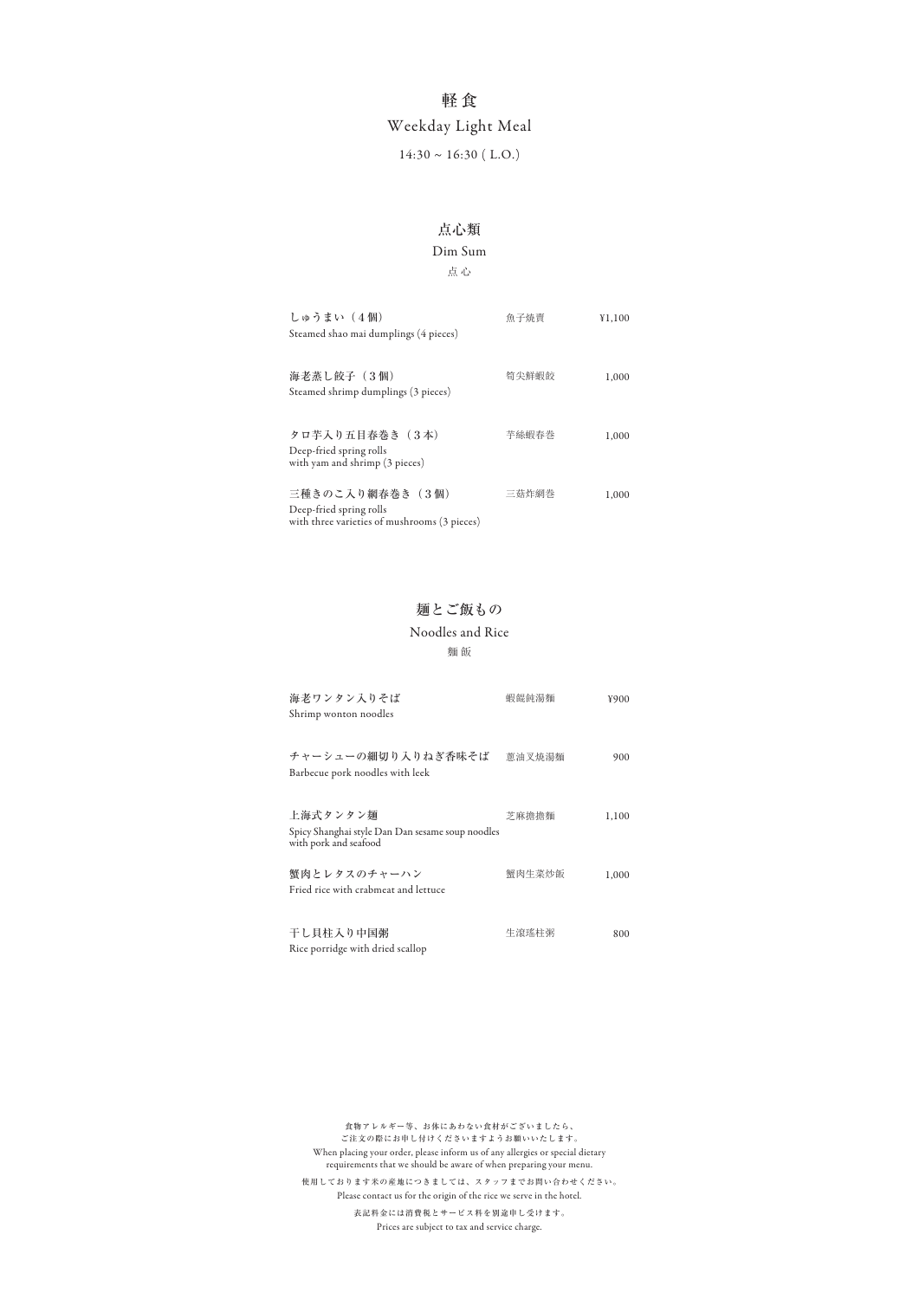| しゅうまい (4個)<br>Steamed shao mai dumplings (4 pieces)                                         | 魚子焼賣  | ¥1,100 |
|---------------------------------------------------------------------------------------------|-------|--------|
| 海老蒸し餃子 (3個)<br>Steamed shrimp dumplings (3 pieces)                                          | 筍尖鮮蝦餃 | 1,000  |
| タロ芋入り五目春巻き(3本)<br>Deep-fried spring rolls<br>with yam and shrimp (3 pieces)                 | 芋絲蝦春巻 | 1,000  |
| 三種きのこ入り網春巻き (3個)<br>Deep-fried spring rolls<br>with three varieties of mushrooms (3 pieces) | 三菇炸網巻 | 1.000  |

#### 点 心

## 軽 食

## Weekday Light Meal

 $14:30 \sim 16:30$  (L.O.)

#### Dim Sum

### 点心類

Rice porridge with dried scallop

| 海老ワンタン入りそば<br>Shrimp wonton noodles                                                   | 蝦餛飩湯麵  | ¥900  |
|---------------------------------------------------------------------------------------|--------|-------|
| チャーシューの細切り入りねぎ香味そば<br>Barbecue pork noodles with leek                                 | 蔥油叉焼湯麵 | 900   |
| 上海式タンタン麺<br>Spicy Shanghai style Dan Dan sesame soup noodles<br>with pork and seafood | 芝麻擔擔麵  | 1,100 |
| 蟹肉とレタスのチャーハン<br>Fried rice with crabmeat and lettuce                                  | 蟹肉生菜炒飯 | 1,000 |
| 干し貝柱入り中国粥                                                                             | 生滾瑤柱粥  | 800   |

麵 飯

#### Noodles and Rice

## 麺とご飯もの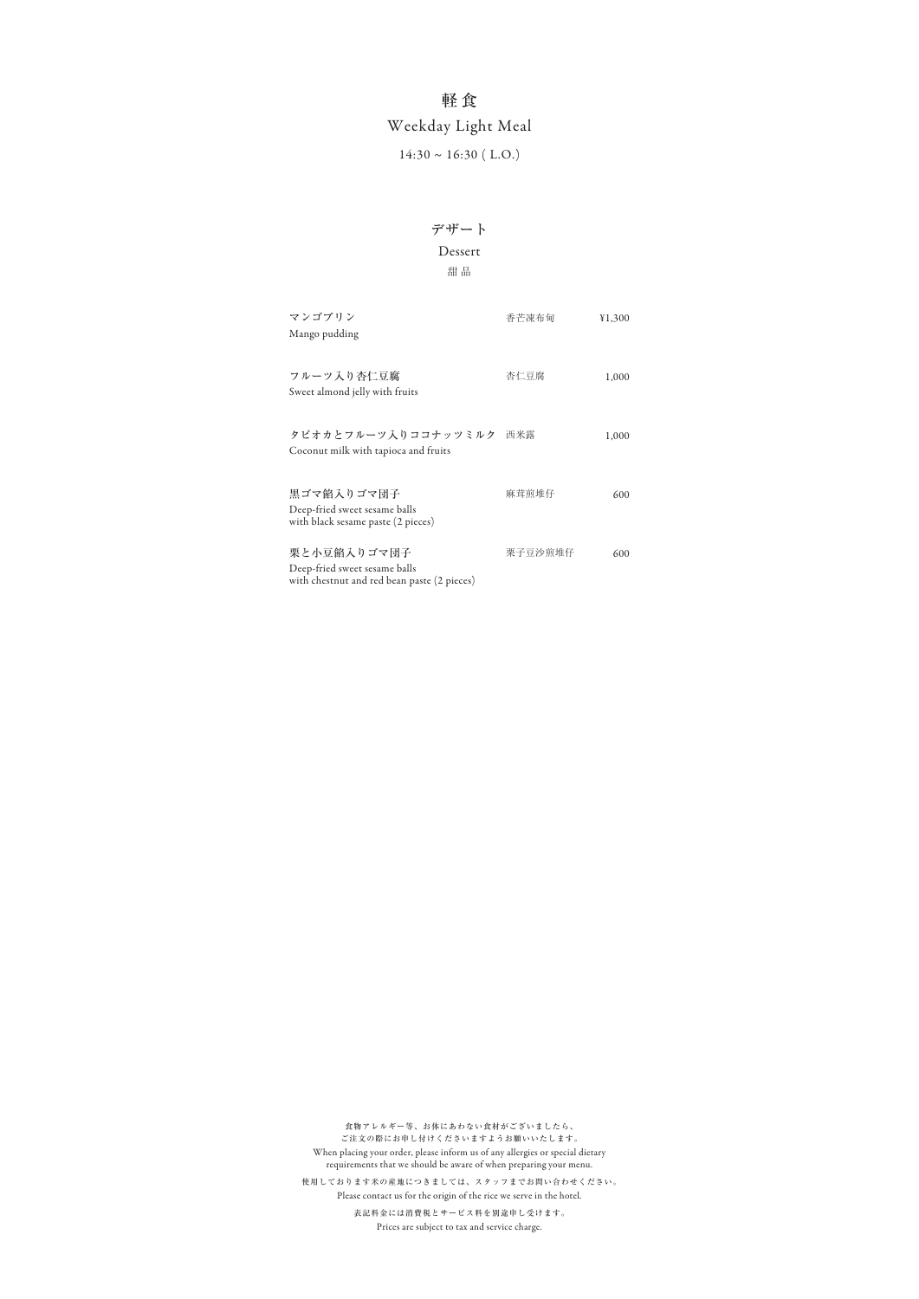| マンゴプリン<br>Mango pudding                                                                     | 香芒凍布甸   | ¥1,300 |
|---------------------------------------------------------------------------------------------|---------|--------|
| フルーツ入り杏仁豆腐<br>Sweet almond jelly with fruits                                                | 杏仁豆腐    | 1,000  |
| タピオカとフルーツ入りココナッツミルク<br>Coconut milk with tapioca and fruits                                 | 西米露     | 1,000  |
| 黒ゴマ餡入りゴマ団子<br>Deep-fried sweet sesame balls<br>with black sesame paste (2 pieces)           | 麻茸煎堆仔   | 600    |
| 栗と小豆餡入りゴマ団子<br>Deep-fried sweet sesame balls<br>with chestnut and red bean paste (2 pieces) | 栗子豆沙煎堆仔 | 600    |

#### 甜 品

## 軽 食

## Weekday Light Meal

 $14:30 \sim 16:30$  (L.O.)

### Dessert

## デザート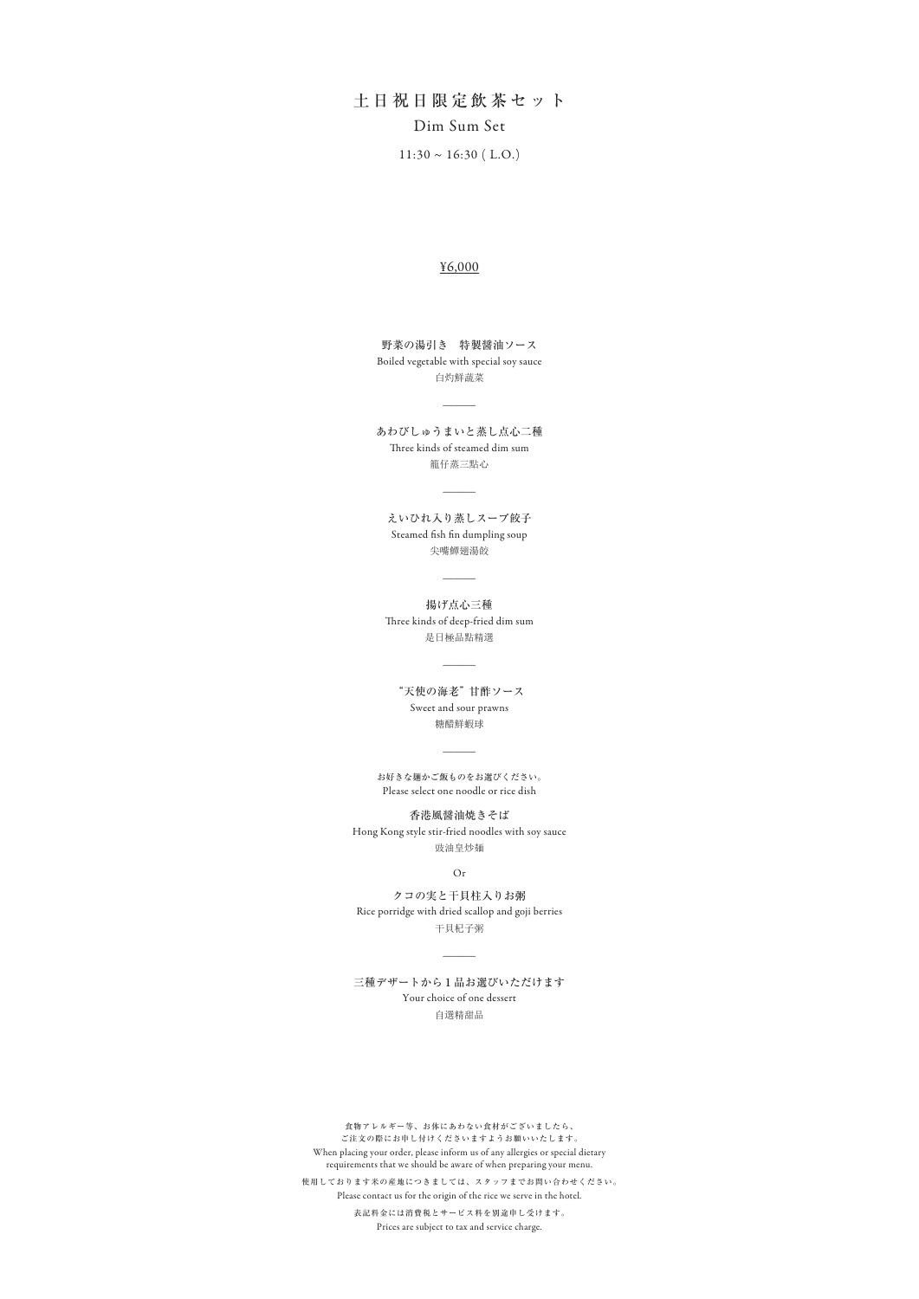籠仔蒸三點心 あわびしゅうまいと蒸し点心二種 Three kinds of steamed dim sum

 $\overline{\phantom{a}}$ 

土日祝日限定飲茶セット Dim Sum Set

> 尖嘴鱏翅湯餃 えいひれ入り蒸しスープ餃子 Steamed fish fin dumpling soup

 $11:30 \sim 16:30$  (L.O.)

 $\overline{\phantom{a}}$ 

是日極品點精選 揚げ点心三種 Three kinds of deep-fried dim sum

 $\overline{\phantom{a}}$ 

#### ¥6,000

白灼鮮蔬菜 Boiled vegetable with special soy sauce 野菜の湯引き 特製醤油ソース

 $\overline{\phantom{a}}$ 

糖醋鮮蝦球 "天使の海老" 甘酢ソース Sweet and sour prawns

豉油皇炒麺 Hong Kong style stir-fried noodles with soy sauce 香港風醤油焼きそば

干貝杞子粥 Rice porridge with dried scallop and goji berries クコの実と干貝柱入りお粥

 $\overline{\phantom{a}}$ 

#### 三種デザートから1品お選びいただけます

Please select one noodle or rice dish お好きな麺かご飯ものをお選びください。

 $\overline{\phantom{a}}$ 

Or

食物アレルギー等、お体にあわない食材がございましたら、 ご注文の際にお申し付けくださいますようお願いいたします。 When placing your order, please inform us of any allergies or special dietary requirements that we should be aware of when preparing your menu. 表記料金には消費税とサービス料を別途申し受けます。 Prices are subject to tax and service charge. 使用しております米の産地につきましては、スタッフまでお問い合わせください。 Please contact us for the origin of the rice we serve in the hotel.

自選精甜品

Your choice of one dessert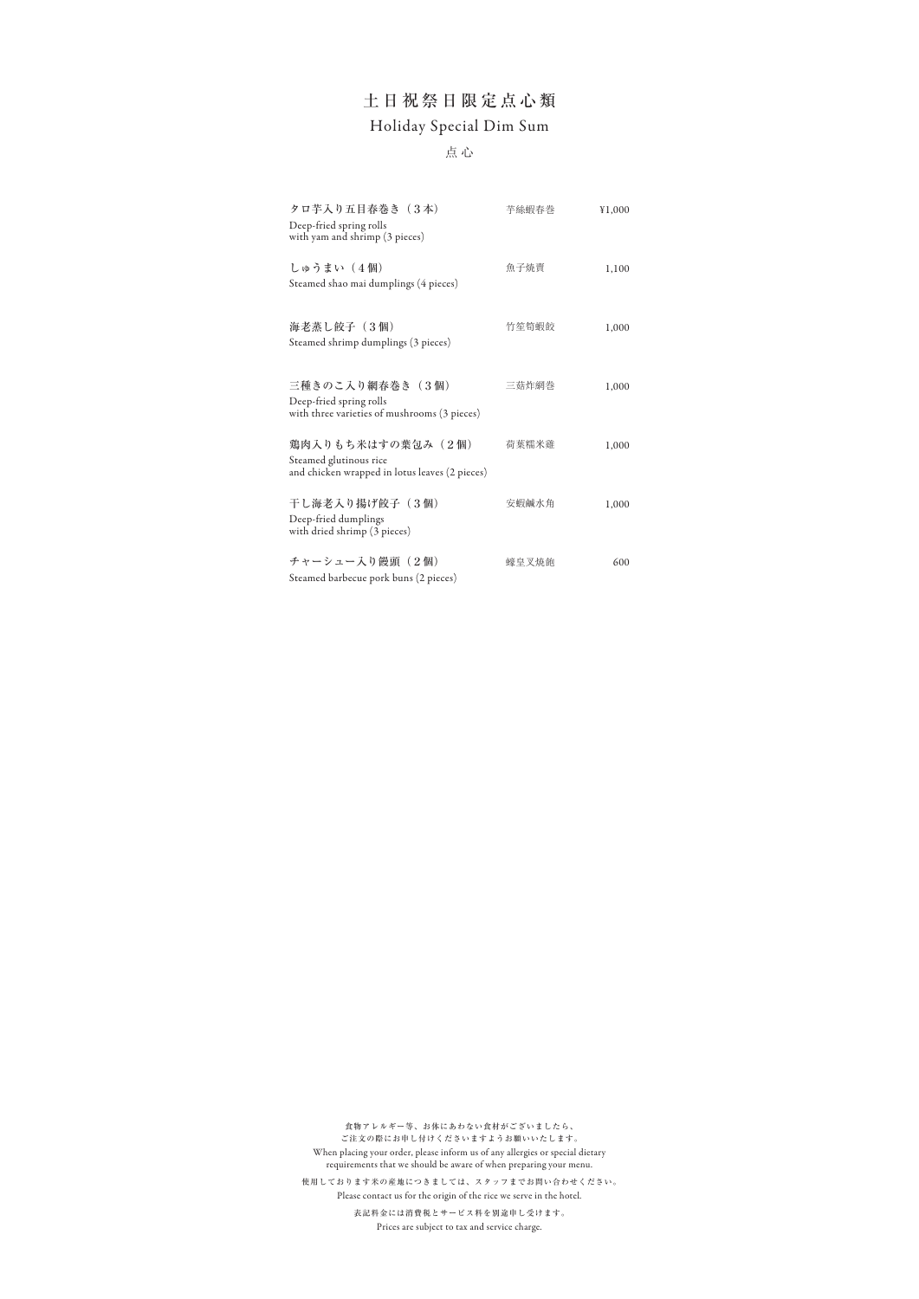| タロ芋入り五目春巻き (3本)<br>Deep-fried spring rolls<br>with yam and shrimp (3 pieces)                  | 芋絲蝦春巻 | ¥1,000 |
|-----------------------------------------------------------------------------------------------|-------|--------|
| しゅうまい (4個)<br>Steamed shao mai dumplings (4 pieces)                                           | 魚子焼賣  | 1,100  |
| 海老蒸し餃子 (3個)<br>Steamed shrimp dumplings (3 pieces)                                            | 竹笙筍蝦餃 | 1,000  |
| 三種きのこ入り網春巻き(3個)<br>Deep-fried spring rolls<br>with three varieties of mushrooms (3 pieces)    | 三菇炸網巻 | 1,000  |
| 鶏肉入りもち米はすの葉包み(2個)<br>Steamed glutinous rice<br>and chicken wrapped in lotus leaves (2 pieces) | 荷葉糯米雞 | 1,000  |
| 干し海老入り揚げ餃子 (3個)<br>Deep-fried dumplings<br>with dried shrimp (3 pieces)                       | 安蝦鹹水角 | 1,000  |
| チャーシュー入り饅頭 (2個)<br>Steamed barbecue pork buns (2 pieces)                                      | 蠔阜叉焼飽 | 600    |

点 心

## 土日祝祭日限定点心類 Holiday Special Dim Sum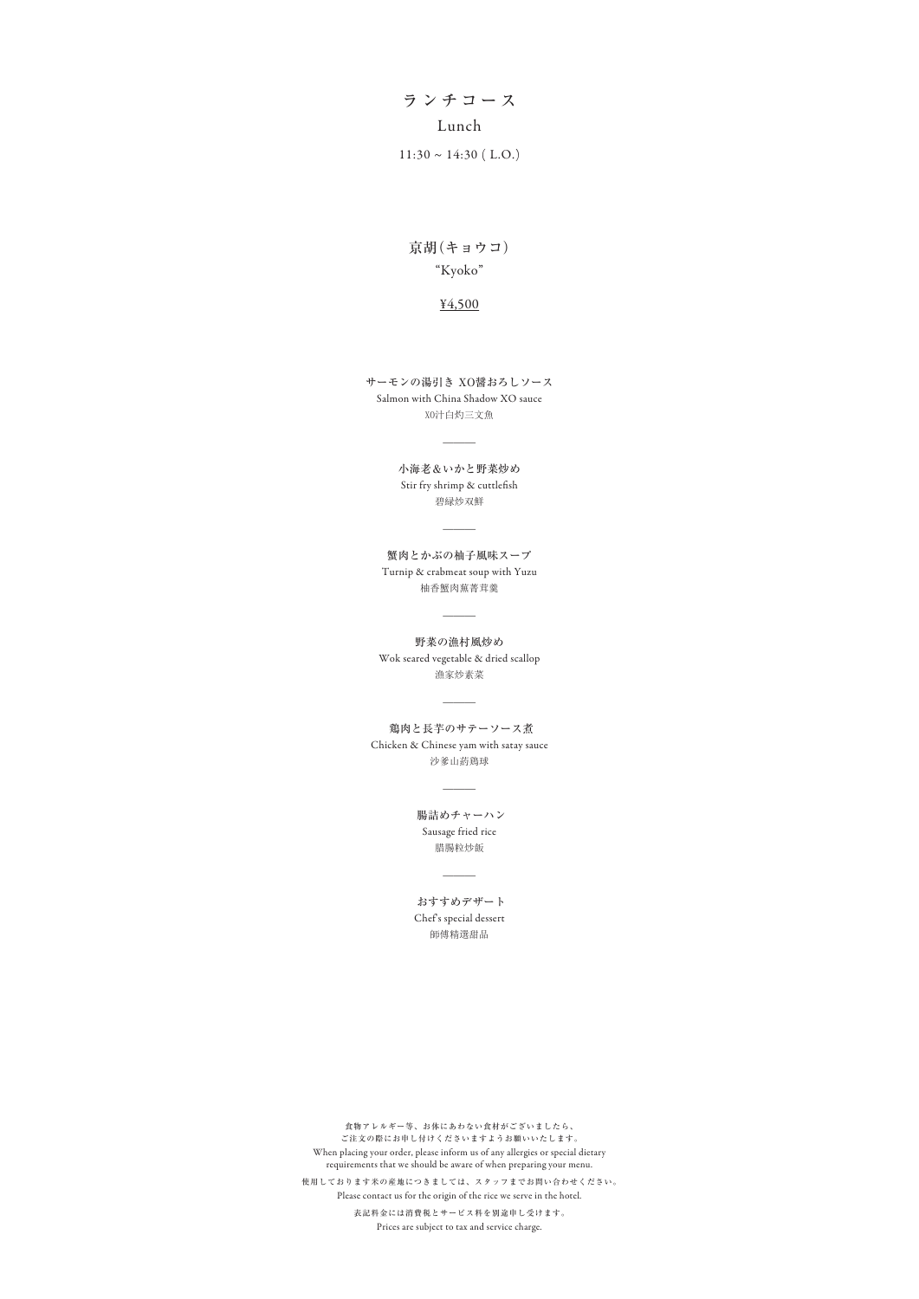# ランチコース Lunch

 $11:30 \sim 14:30$  (L.O.)

### "Kyoko" 京胡(キョウコ)

碧緑炒双鮮 小海老&いかと野菜炒め Stir fry shrimp & cuttlefish

 $\overline{\phantom{a}}$ 

#### ¥4,500

XO汁白灼三文魚 Salmon with China Shadow XO sauce サーモンの湯引き XO醤おろしソース

 $\overline{\phantom{a}}$ 

柚香蟹肉蕪菁茸羹 蟹肉とかぶの柚子風味スープ Turnip & crabmeat soup with Yuzu

 $\overline{\phantom{a}}$ 

漁家炒素菜 野菜の漁村風炒め Wok seared vegetable & dried scallop

 $\overline{\phantom{a}}$ 

沙爹山葯鶏球 鶏肉と長芋のサテーソース煮 Chicken & Chinese yam with satay sauce

 $\overline{\phantom{a}}$ 

腊腸粒炒飯 腸詰めチャーハン Sausage fried rice

 $\overline{\phantom{a}}$ 

師傅精選甜品 おすすめデザート Chef's special dessert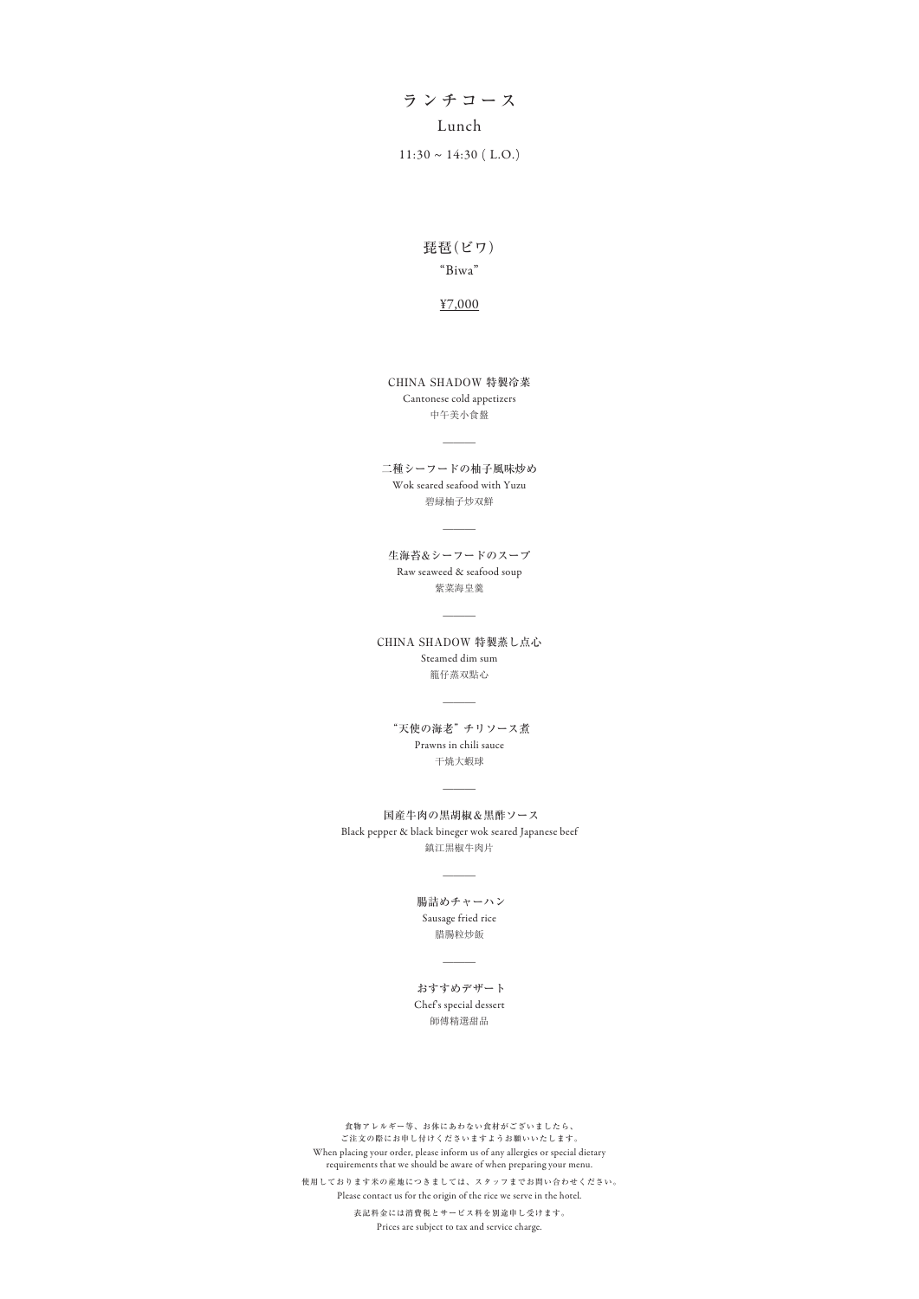# ランチコース Lunch

 $11:30 \sim 14:30$  (L.O.)

### "Biwa" 琵琶(ビワ)

#### ¥7,000

中午美小食盤 Cantonese cold appetizers CHINA SHADOW 特製冷菜

 $\overline{\phantom{a}}$ 

碧緑柚子炒双鮮 二種シーフードの柚子風味炒め Wok seared seafood with Yuzu

 $\overline{\phantom{a}}$ 

紫菜海皇羹 生海苔&シーフードのスープ Raw seaweed & seafood soup

 $\overline{\phantom{a}}$ 

籠仔蒸双點心 CHINA SHADOW 特製蒸し点心 Steamed dim sum

 $\overline{\phantom{a}}$ 

干焼大蝦球 "天使の海老" チリソース煮 Prawns in chili sauce

鎮江黒椒牛肉片 国産牛肉の黒胡椒&黒酢ソース Black pepper & black bineger wok seared Japanese beef

 $\overline{\phantom{a}}$ 

 $\overline{\phantom{a}}$ 

師傅精選甜品 おすすめデザート Chef's special dessert

腊腸粒炒飯 腸詰めチャーハン Sausage fried rice

 $\overline{\phantom{a}}$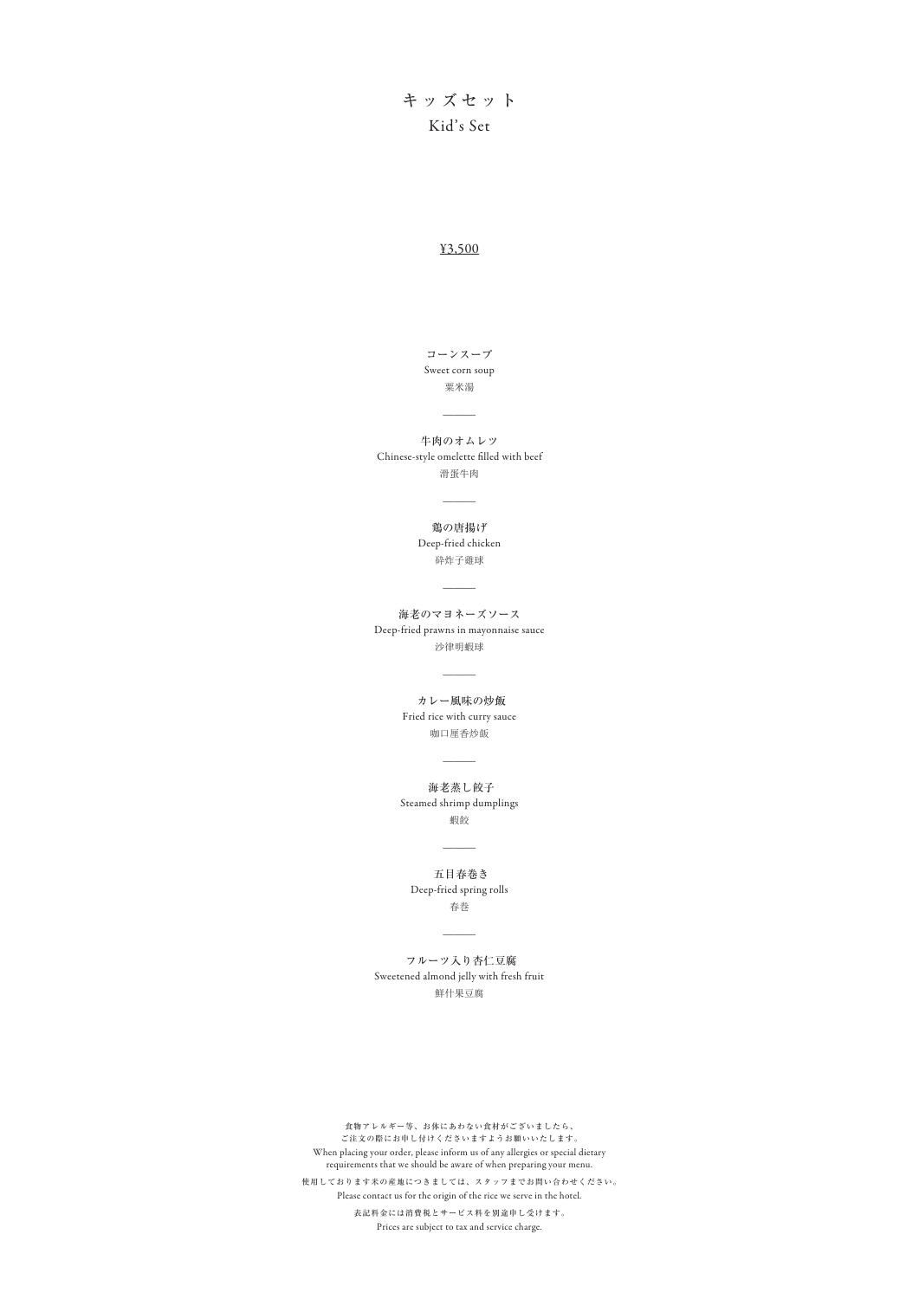## キッズセット Kid's Set

滑蛋牛肉 牛肉のオムレツ Chinese-style omelette filled with beef

 $\overline{\phantom{a}}$ 

#### ¥3,500

粟米湯 Sweet corn soup コーンスープ

 $\overline{\phantom{a}}$ 

砕炸子雞球 鶏の唐揚げ Deep-fried chicken

 $\overline{\phantom{a}}$ 

沙律明蝦球 海老のマヨネーズソース Deep-fried prawns in mayonnaise sauce

 $\overline{\phantom{a}}$ 

咖口厘香炒飯 カレー風味の炒飯 Fried rice with curry sauce

 $\overline{\phantom{a}}$ 

蝦餃 海老蒸し餃子 Steamed shrimp dumplings

 $\overline{\phantom{a}}$ 

鮮什果豆腐

 フルーツ入り杏仁豆腐 Sweetened almond jelly with fresh fruit

 $\overline{\phantom{a}}$ 

春巻 五目春巻き Deep-fried spring rolls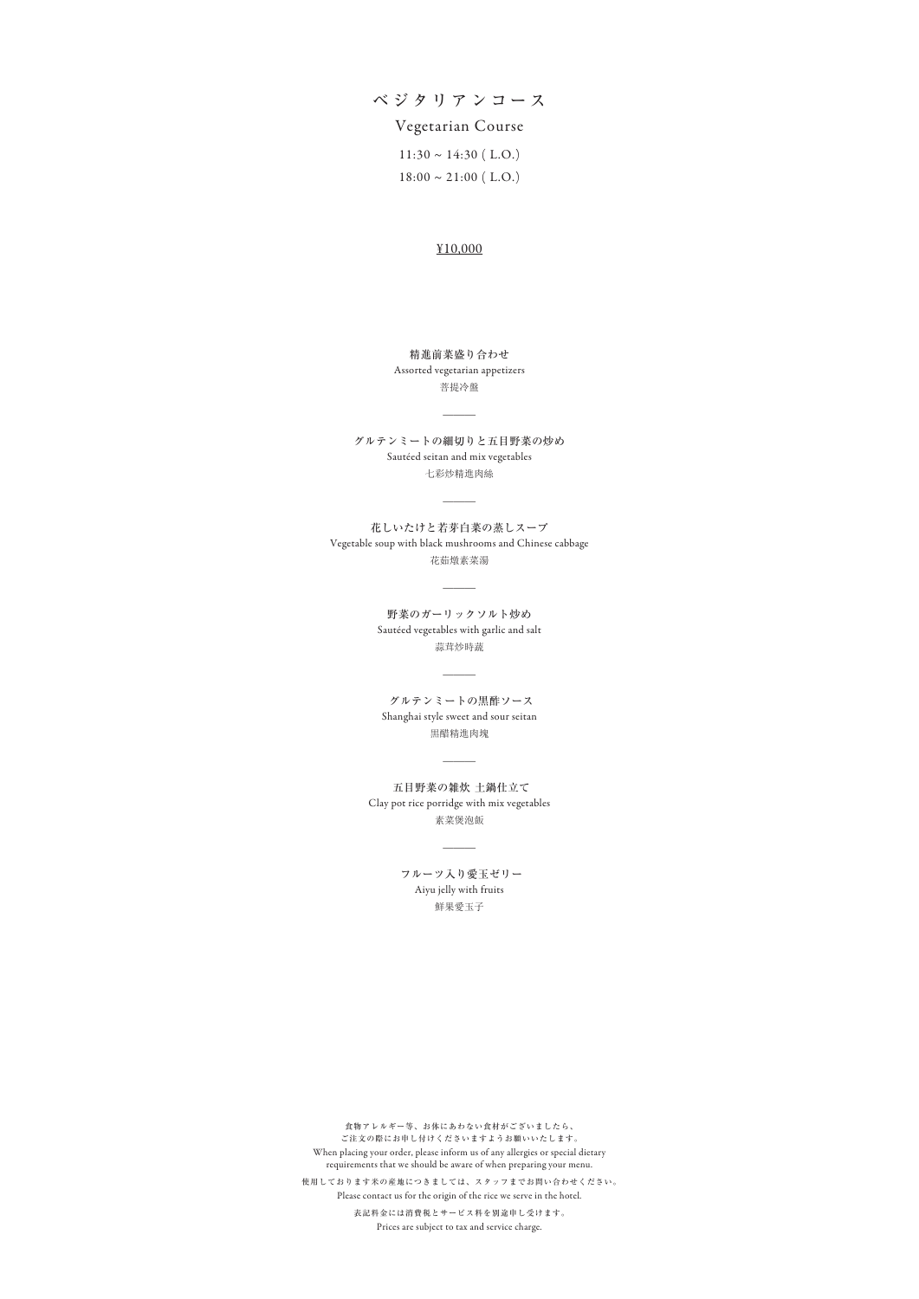ベジタリアンコース

### Vegetarian Course

 $11:30 \sim 14:30$  (L.O.)  $18:00 \sim 21:00$  (L.O.)

#### ¥10,000

菩提冷盤 Assorted vegetarian appetizers 精進前菜盛り合わせ

 $\overline{\phantom{a}}$ 

七彩炒精進肉絲 グルテンミートの細切りと五目野菜の炒め Sautéed seitan and mix vegetables

 $\overline{\phantom{a}}$ 

蒜茸炒時蔬 野菜のガーリックソルト炒め Sautéed vegetables with garlic and salt

 $\overline{\phantom{a}}$ 

花茹燉素菜湯 花しいたけと若芽白菜の蒸しスープ Vegetable soup with black mushrooms and Chinese cabbage

 $\overline{\phantom{a}}$ 

黒醋精進肉塊 グルテンミートの黒酢ソース Shanghai style sweet and sour seitan

 $\overline{\phantom{a}}$ 

素菜煲泡飯 五目野菜の雑炊 土鍋仕立て Clay pot rice porridge with mix vegetables

 $\overline{\phantom{a}}$ 

鮮果愛玉子 フルーツ入り愛玉ゼリー Aiyu jelly with fruits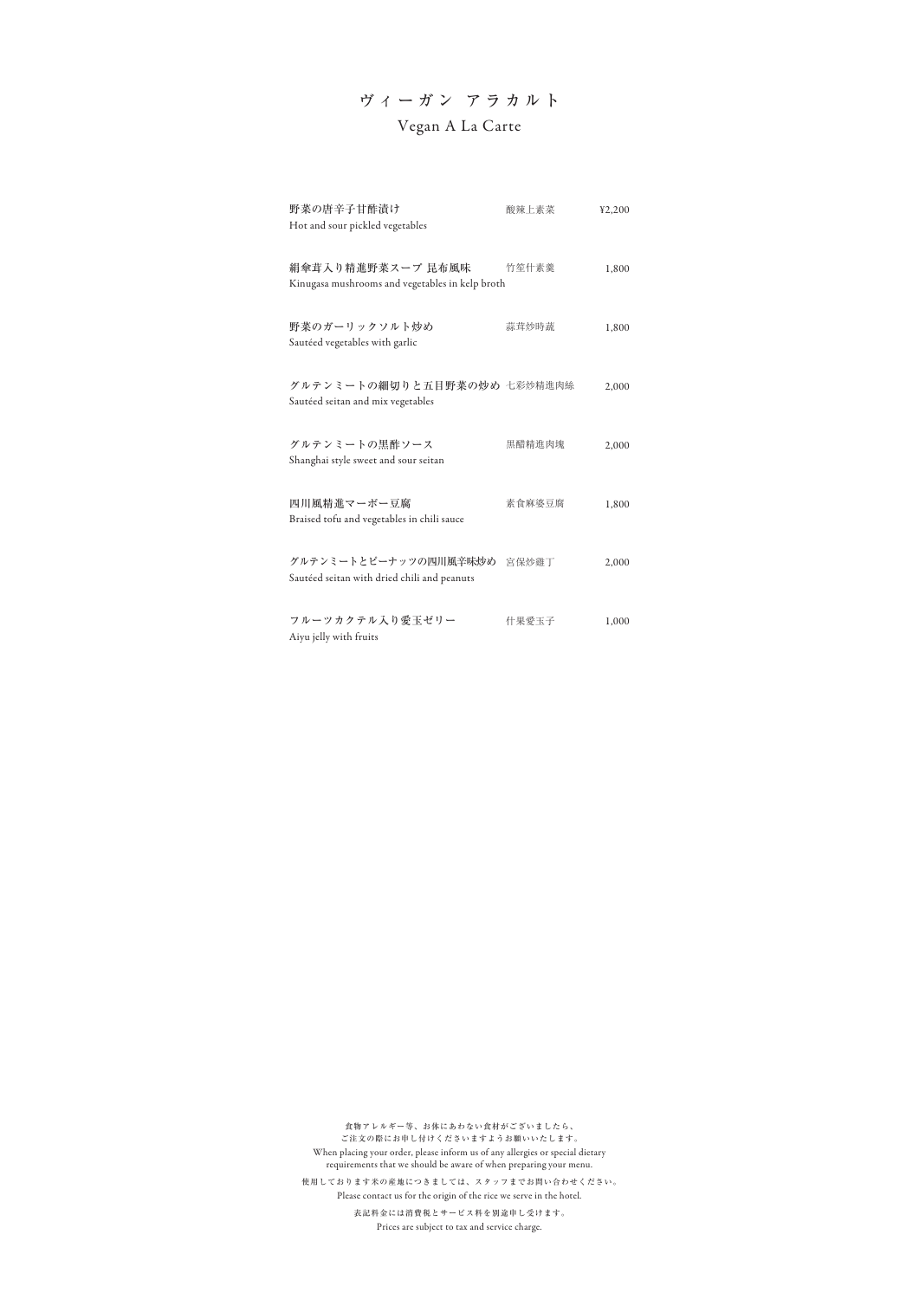| 野菜の唐辛子甘酢漬け<br>Hot and sour pickled vegetables                              | 酸辣上素菜  | 42,200 |
|----------------------------------------------------------------------------|--------|--------|
| 絹傘茸入り精進野菜スープ 昆布風味<br>Kinugasa mushrooms and vegetables in kelp broth       | 竹笙什素羹  | 1,800  |
| 野菜のガーリックソルト炒め<br>Sautéed vegetables with garlic                            | 蒜茸炒時蔬  | 1,800  |
| グルテンミートの細切りと五目野菜の炒め 七彩炒精進肉絲<br>Sautéed seitan and mix vegetables           |        | 2,000  |
| グルテンミートの黒酢ソース<br>Shanghai style sweet and sour seitan                      | 黒醋精進肉塊 | 2,000  |
| 四川風精進マーボー豆腐<br>Braised tofu and vegetables in chili sauce                  | 素食麻婆豆腐 | 1,800  |
| グルテンミートとピーナッツの四川風辛味炒め 宮保炒雞丁<br>Sautéed seitan with dried chili and peanuts |        | 2,000  |
| フルーツカクテル入り愛玉ゼリー<br>Aiyu jelly with fruits                                  | 什果愛玉子  | 1,000  |

## ヴィーガン アラカルト Vegan A La Carte